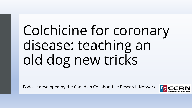# Colchicine for coronary disease: teaching an old dog new tricks

Podcast developed by the Canadian Collaborative Research Network

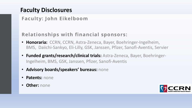# **Faculty Disclosures**

#### **Faculty: John Eikelboom**

#### **Relationships with financial sponsors:**

- **Honoraria:** CCRN, CCRN, Astra-Zeneca, Bayer, Boehringer-Ingelheim, BMS, Daiichi-Sankyo, Eli-Lilly, GSK, Janssen, Pfizer, Sanofi-Aventis, Servier
- **Funded grants/research/clinical trials:** Astra-Zeneca, Bayer, Boehringer-Ingelheim, BMS, GSK, Janssen, Pfizer, Sanofi-Aventis
- **Advisory boards/speakers' bureaus:** none
- **Patents:** none
- **Other:** none

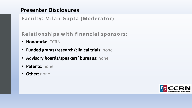#### **Presenter Disclosures**

**Faculty: Milan Gupta (Moderator)**

#### **Relationships with financial sponsors:**

- **Honoraria:** CCRN
- **Funded grants/research/clinical trials:** none
- **Advisory boards/speakers' bureaus:** none
- **Patents:** none
- **Other:** none

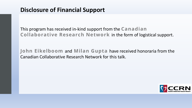This program has received in-kind support from the **Canadian Collaborative Research Network** in the form of logistical support.

**John Eikelboom** and **Milan Gupta** have received honoraria from the Canadian Collaborative Research Network for this talk.

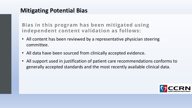### **Mitigating Potential Bias**

**Bias in this program has been mitigated using independent content validation as follows:**

- All content has been reviewed by a representative physician steering committee.
- All data have been sourced from clinically accepted evidence.
- All support used in justification of patient care recommendations conforms to generally accepted standards and the most recently available clinical data.

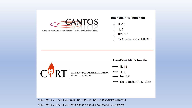

Ridker, PM et al. N Engl J Med 2017; 377:1119-1131 DOI: 10.1056/NEJMoa1707914

Ridker, PM et al. N Engl J Med. 2019; 380:752–762. doi: 10.1056/NEJMoa1809798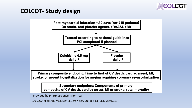

# **COLCOT- Study design**



**Secondary endpoints: Components of primary;** composite of CV death, cardiac arrest, MI or stroke; total mortality

\*provided by Pharmascience (Montreal)

Tardif, JC et al. N Engl J Med 2019; 381:2497-2505 DOI: 10.1056/NEJMoa1912388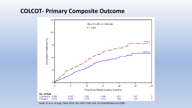#### **COLCOT- Primary Composite Outcome**



Tardif, JC et al. N Engl J Med 2019; 381:2497-2505 DOI: 10.1056/NEJMoa1912388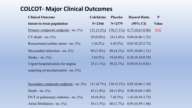# **COLCOT- Major Clinical Outcomes**

| <b>Clinical Outcome</b>                  | <b>Colchicine</b> | <b>Placebo</b> | <b>Hazard Ratio</b>           | P            |
|------------------------------------------|-------------------|----------------|-------------------------------|--------------|
| Intent-to-treat population               | $N = 2366$        | $N = 2379$     | $(95\% \text{ CI})$           | <b>Value</b> |
| Primary composite endpoint - no. $(\%)$  | $131(5.5\%)$      |                | $170(7.1\%)$ 0.77 (0.61-0.96) | 0.02         |
| $CV$ death - no. $(\%)$                  | $20(0.8\%)$       |                | $24(1.0\%)$ 0.84 (0.46-1.52)  |              |
| Resuscitated cardiac arrest - no. $(\%)$ | $5(0.2\%)$        | $6(0.3\%)$     | $0.83(0.25-2.73)$             |              |
| Myocardial infarction - no. $(\%)$       | $89(3.8\%)$       |                | 98 (4.1%) 0.91 (0.68-1.21)    |              |
| Stroke - no. $\left(\frac{0}{0}\right)$  | $5(0.2\%)$        |                | $19(0.8\%)$ 0.26 (0.10-0.70)  |              |
| Urgent hospitalization for angina        | $25(1.1\%)$       |                | $50(2.1\%)$ 0.50 (0.31-0.81)  |              |
| requiring revascularization - no. $(\%)$ |                   |                |                               |              |

| Secondary composite endpoint - no. $(\%)$ 111 $(4.7\%)$ 130 $(5.5\%)$ 0.85 $(0.66-1.10)$ |  |                                              |
|------------------------------------------------------------------------------------------|--|----------------------------------------------|
| Death - no. $(\%)$                                                                       |  | 43 $(1.8\%)$ 44 $(1.8\%)$ 0.98 $(0.64-1.49)$ |
| DVT or pulmonary embolus - no. $(\%)$                                                    |  | $10(0.4\%)$ 7 (0.3%) 1.43 (0.54-3.75)        |
| Atrial fibrillation - no. $(\%)$                                                         |  | 36 $(1.5\%)$ 40 $(1.7\%)$ 0.93 $(0.59-1.46)$ |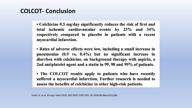# **COLCOT- Conclusion**

• Colchicine 0.5 mg/day significantly reduces the risk of first and total ischemic cardiovascular events by 23% and 34% respectively compared to placebo in patients with a recent myocardial infarction.

• Rates of adverse effects were low, including a small increase in pneumonias  $(0.9 \text{ vs. } 0.4\%)$  but no significant increase in diarrhea with colchicine, on background therapy with aspirin, a 2nd antiplatelet agent and a statin in 99, 98 and 99% of patients.

• The COLCOT results apply to patients who have recently suffered a myocardial infarction. Further research is needed to assess the benefits of colchicine in other high-risk patients.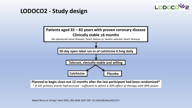# LODO

#### **LODOCO2 - Study design**



**Planned to begin close-out 12 months after the last participant had been randomized\*** *\* If 331 primary events had accrued – sufficient to detect a 30% effect of therapy with 90% power*

Nidorf SM et al. N Engl J Med 2020; 383:1838-1847 DOI: 10.1056/NEJMoa2021372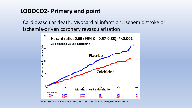# **LODOCO2- Primary end point**

Cardiovascular death, Myocardial infarction, Ischemic stroke or Ischemia-driven coronary revascularization



Nidorf SM et al. N Engl J Med 2020; 383:1838-1847 DOI: 10.1056/NEJMoa2021372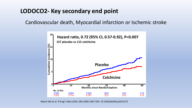# **LODOCO2- Key secondary end point**

Cardiovascular death, Myocardial infarction or Ischemic stroke



Nidorf SM et al. N Engl J Med 2020; 383:1838-1847 DOI: 10.1056/NEJMoa2021372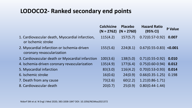# **LODOCO2- Ranked secondary end points**

|                                                                           | <b>Colchicine</b><br>$(N = 2762)$ | Placebo<br>$(N = 2760)$ | <b>Hazard Ratio</b><br>(95% CI) | <b>P</b> Value |
|---------------------------------------------------------------------------|-----------------------------------|-------------------------|---------------------------------|----------------|
| 1. Cardiovascular death, Myocardial infarction,<br>or Ischemic stroke     | 115(4.2)                          | 157(5.7)                | $0.72(0.57 - 0.92)$             | 0.007          |
| 2. Myocardial infarction or Ischemia-driven<br>coronary revascularization | 155(5.6)                          | 224(8.1)                | $0.67(0.55-0.83)$ <0.001        |                |
| 3. Cardiovascular death or Myocardial infarction                          | 100(3.6)                          | 138(5.0)                | $0.71(0.55-0.92)$               | 0.010          |
| 4. Ischemia-driven coronary revascularization                             | 135(4.9)                          | 177(6.4)                | $0.75(0.60-0.94)$               | 0.012          |
| 5. Myocardial infarction                                                  | 83(3.0)                           | 116(4.2)                | $0.70(0.53 - 0.93)$             | 0.014          |
| 6. Ischemic stroke                                                        | 16(0.6)                           | 24(0.9)                 | $0.66(0.35-1.25)$               | 0.198          |
| 7. Death from any cause                                                   | 73(2.6)                           | 60(2.2)                 | $1.21(0.86 - 1.71)$             |                |
| 8. Cardiovascular death                                                   | 20(0.7)                           | 25(0.9)                 | $0.80(0.44 - 1.44)$             |                |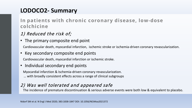# **LODOCO2- Summary**

#### **In patients with chronic coronary disease, low-dose colchicine**

#### 1) Reduced the risk of;

• The primary composite end point

Cardiovascular death, myocardial infarction, ischemic stroke or ischemia-driven coronary revascularization.

#### • Key secondary composite end points

Cardiovascular death, myocardial infarction or ischemic stroke.

#### • Individual secondary end points

Myocardial infarction & Ischemia-driven coronary revascularization.

… with broadly consistent effects across a range of clinical subgroups

#### 2) Was well tolerated and appeared safe

The incidence of premature discontinuation & serious adverse events were both low & equivalent to placebo.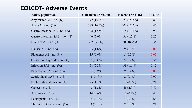## **COLCOT- Adverse Events**

| <b>Safety population</b>             | Colchicine (N=2330) | Placebo $(N=2346)$ | P Value |
|--------------------------------------|---------------------|--------------------|---------|
| Any related AE - no. $(\%)$          | 372 $(16.0\%)$      | 371 (15.8%)        | 0.89    |
| Any SAE - no. $(\%$                  | 383 $(16.4\%)$      | 404 (17.2%)        | 0.47    |
| Gastro-intestinal AE - no. $(\%)$    | 408 (17.5%)         | 414 (17.6%)        | 0.90    |
| Gastro-intestinal $SAE$ – no. $(\%)$ | 46 $(2.0\%)$        | $36(1.5\%)$        | 0.25    |
| Diarrhea AE - no. (%)                | 225 (9.7%)          | 208 (8.9%)         | 0.35    |
| Nausea AE - no. $(\%)$               | 43 $(1.8\%)$        | 24 $(1.0\%)$       | 0.02    |
| Flatulence AE - no. $(\%)$           | $15(0.6\%)$         | $5(0.2\%)$         | 0.02    |
| GI haemorrhage $AE$ - no. $(\%)$     | $7(0.3\%)$          | $5(0.2\%)$         | 0.56    |
| Infection SAE - no. $(\%)$           | 51 $(2.2\%)$        | 38 $(1.6\%)$       | 0.15    |
| Pneumonia SAE - no. (%)              | $21(0.9\%)$         | $9(0.4\%)$         | 0.03    |
| Septic shock SAE - no. (%)           | $2(0.1\%)$          | $2(0.1\%)$         | 0.99    |
| HF hospitalization - no. $(\%)$      | $25(1.1\%)$         | $17(0.7\%)$        | 0.21    |
| Cancer - no. $(\%)$                  | 43 $(1.8\%)$        | 46 $(2.0\%)$       | 0.77    |
| Anemia - no. $(\%)$                  | 14 $(0.6\%)$        | $10(0.4\%)$        | 0.40    |
| Leukopenia - no. (%)                 | $2(0.1\%)$          | $3(0.1\%)$         | 0.66    |
| Thrombocytopenia - no. $(\%)$        | $3(0.1\%)$          | $7(0.3\%)$         | 0.21    |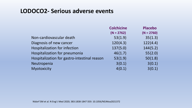#### **LODOCO2- Serious adverse events**

|                                              | <b>Colchicine</b> | <b>Placebo</b> |
|----------------------------------------------|-------------------|----------------|
|                                              | $(N = 2762)$      | $(N = 2760)$   |
| Non-cardiovascular death                     | 53(1.9)           | 35(1.3)        |
| Diagnosis of new cancer                      | 120(4.3)          | 122(4.4)       |
| <b>Hospitalization for infection</b>         | 137(5.0)          | 144(5.2)       |
| Hospitalization for pneumonia                | 46(1.7)           | 55(2.0)        |
| Hospitalization for gastro-intestinal reason | 53(1.9)           | 50(1.8)        |
| Neutropenia                                  | 3(0.1)            | 3(0.1)         |
| Myotoxicity                                  | 4(0.1)            | 3(0.1)         |